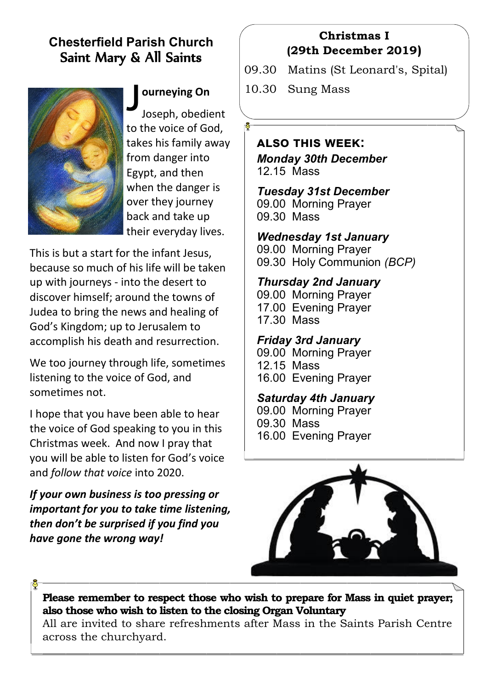## **Chesterfield Parish Church** Saint Mary & All Saints



**ourneying On**

Joseph, obedient to the voice of God, takes his family away from danger into Egypt, and then when the danger is over they journey back and take up their everyday lives.

This is but a start for the infant Jesus, because so much of his life will be taken up with journeys - into the desert to discover himself; around the towns of Judea to bring the news and healing of God's Kingdom; up to Jerusalem to accomplish his death and resurrection.

We too journey through life, sometimes listening to the voice of God, and sometimes not.

I hope that you have been able to hear the voice of God speaking to you in this Christmas week. And now I pray that you will be able to listen for God's voice and *follow that voice* into 2020.

*If your own business is too pressing or important for you to take time listening, then don't be surprised if you find you have gone the wrong way!*

#### **Christmas I (29th December 2019)**

- 09.30 Matins (St Leonard's, Spital)
- 10.30 Sung Mass

# **also this week:**

*Monday 30th December* 12.15 Mass

#### *Tuesday 31st December* 09.00 Morning Prayer

09.30 Mass

#### *Wednesday 1st January*

09.00 Morning Prayer 09.30 Holy Communion *(BCP)*

## *Thursday 2nd January*

09.00 Morning Prayer 17.00 Evening Prayer 17.30 Mass

## *Friday 3rd January*

09.00 Morning Prayer 12.15 Mass 16.00 Evening Prayer

### *Saturday 4th January*

09.00 Morning Prayer 09.30 Mass 16.00 Evening Prayer



**Please remember to respect those who wish to prepare for Mass in quiet prayer; also those who wish to listen to the closing Organ Voluntary**

All are invited to share refreshments after Mass in the Saints Parish Centre across the churchyard.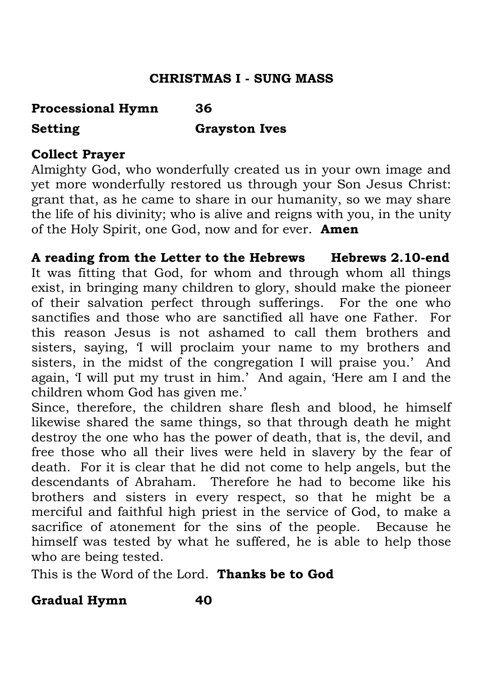#### **CHRISTMAS I - SUNG MASS**

# **Processional Hymn 36 Setting Grayston Ives**

#### **Collect Prayer**

Almighty God, who wonderfully created us in your own image and yet more wonderfully restored us through your Son Jesus Christ: grant that, as he came to share in our humanity, so we may share the life of his divinity; who is alive and reigns with you, in the unity of the Holy Spirit, one God, now and for ever. **Amen**

**A reading from the Letter to the Hebrews Hebrews 2.10-end** It was fitting that God, for whom and through whom all things exist, in bringing many children to glory, should make the pioneer of their salvation perfect through sufferings. For the one who sanctifies and those who are sanctified all have one Father. For this reason Jesus is not ashamed to call them brothers and sisters, saying, 'I will proclaim your name to my brothers and sisters, in the midst of the congregation I will praise you.' And again, 'I will put my trust in him.' And again, 'Here am I and the children whom God has given me.'

Since, therefore, the children share flesh and blood, he himself likewise shared the same things, so that through death he might destroy the one who has the power of death, that is, the devil, and free those who all their lives were held in slavery by the fear of death. For it is clear that he did not come to help angels, but the descendants of Abraham. Therefore he had to become like his brothers and sisters in every respect, so that he might be a merciful and faithful high priest in the service of God, to make a sacrifice of atonement for the sins of the people. Because he himself was tested by what he suffered, he is able to help those who are being tested.

This is the Word of the Lord. **Thanks be to God**

# **Gradual Hymn 40**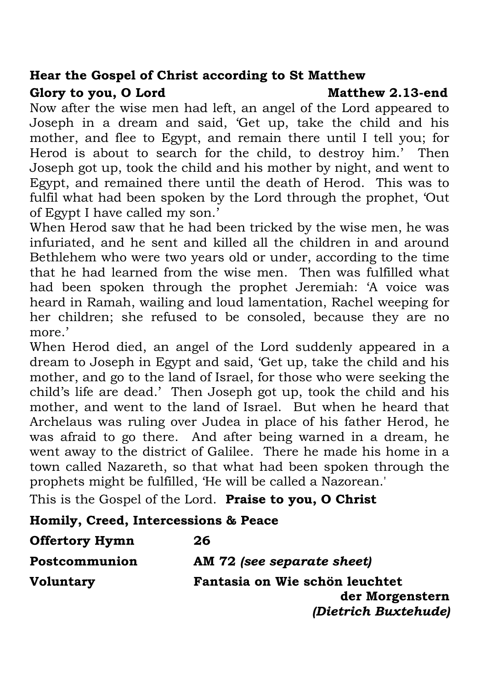### **Hear the Gospel of Christ according to St Matthew**

#### Glory to you, O Lord Matthew 2.13-end

Now after the wise men had left, an angel of the Lord appeared to Joseph in a dream and said, 'Get up, take the child and his mother, and flee to Egypt, and remain there until I tell you; for Herod is about to search for the child, to destroy him.' Then Joseph got up, took the child and his mother by night, and went to Egypt, and remained there until the death of Herod. This was to fulfil what had been spoken by the Lord through the prophet, 'Out of Egypt I have called my son.'

When Herod saw that he had been tricked by the wise men, he was infuriated, and he sent and killed all the children in and around Bethlehem who were two years old or under, according to the time that he had learned from the wise men. Then was fulfilled what had been spoken through the prophet Jeremiah: 'A voice was heard in Ramah, wailing and loud lamentation, Rachel weeping for her children; she refused to be consoled, because they are no more.'

When Herod died, an angel of the Lord suddenly appeared in a dream to Joseph in Egypt and said, 'Get up, take the child and his mother, and go to the land of Israel, for those who were seeking the child's life are dead.' Then Joseph got up, took the child and his mother, and went to the land of Israel. But when he heard that Archelaus was ruling over Judea in place of his father Herod, he was afraid to go there. And after being warned in a dream, he went away to the district of Galilee. There he made his home in a town called Nazareth, so that what had been spoken through the prophets might be fulfilled, 'He will be called a Nazorean.'

This is the Gospel of the Lord. **Praise to you, O Christ**

**Homily, Creed, Intercessions & Peace**

| <b>Offertory Hymn</b> | 26                             |
|-----------------------|--------------------------------|
| Postcommunion         | AM 72 (see separate sheet)     |
| <b>Voluntary</b>      | Fantasia on Wie schön leuchtet |
|                       | der Morgenstern                |
|                       | (Dietrich Buxtehude)           |